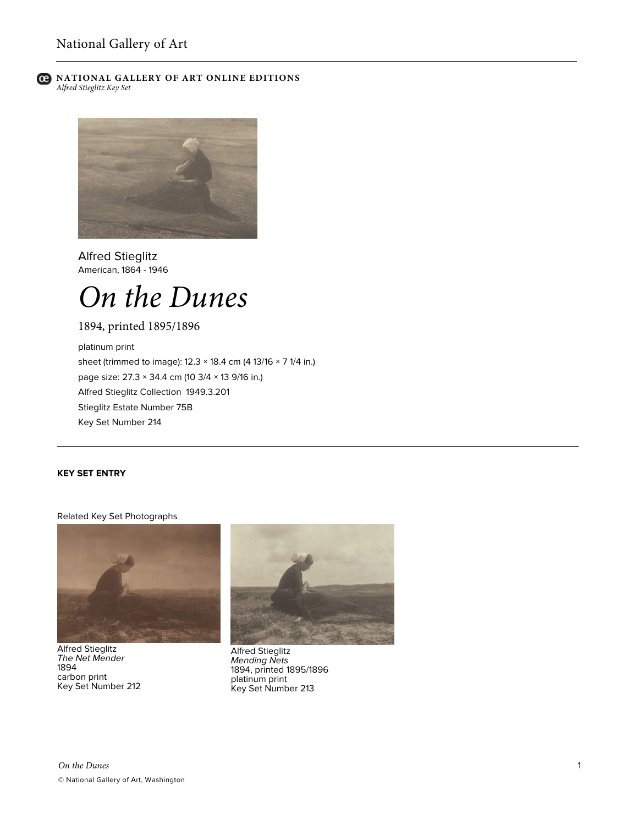

### **C** NATIONAL GALLERY OF ART ONLINE EDITIONS *Alfred Stieglitz Key Set*



Alfred Stieglitz American, 1864 - 1946

# *On the Dunes*

1894, printed 1895/1896

platinum print sheet (trimmed to image):  $12.3 \times 18.4$  cm (4 13/16  $\times$  7 1/4 in.) page size: 27.3 × 34.4 cm (10 3/4 × 13 9/16 in.) Alfred Stieglitz Collection 1949.3.201 Stieglitz Estate Number 75B Key Set Number 214

## **KEY SET ENTRY**

#### Related Key Set Photographs



Alfred Stieglitz *The Net Mender* 1894 carbon print Key Set Number 212



Alfred Stieglitz *Mending Nets* 1894, printed 1895/1896 platinum print Key Set Number 213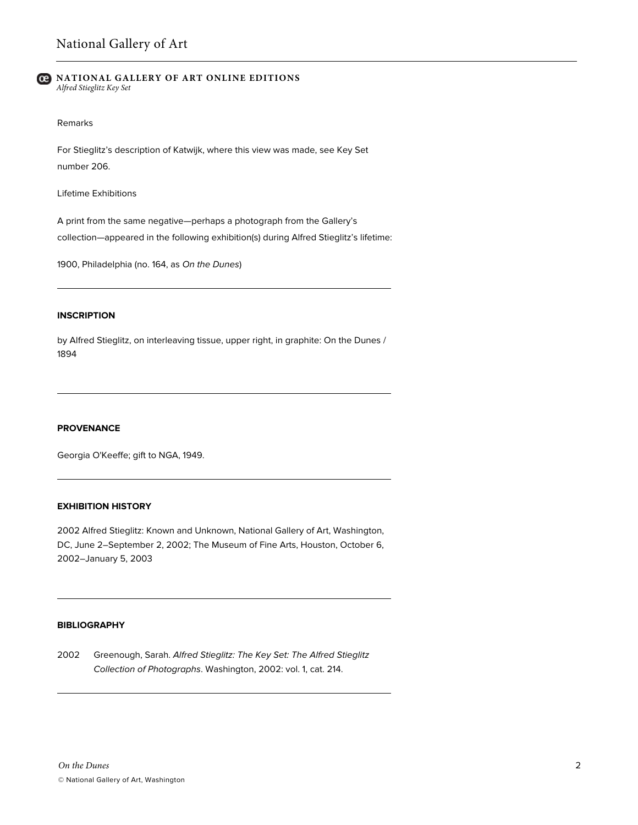#### **B** NATIONAL GALLERY OF ART ONLINE EDITIONS *Alfred Stieglitz Key Set*

#### Remarks

For Stieglitz's description of Katwijk, where this view was made, see Key Set number 206.

Lifetime Exhibitions

A print from the same negative—perhaps a photograph from the Gallery's collection—appeared in the following exhibition(s) during Alfred Stieglitz's lifetime:

1900, Philadelphia (no. 164, as *On the Dunes*)

## **INSCRIPTION**

by Alfred Stieglitz, on interleaving tissue, upper right, in graphite: On the Dunes / 1894

#### **PROVENANCE**

Georgia O'Keeffe; gift to NGA, 1949.

#### **EXHIBITION HISTORY**

2002 Alfred Stieglitz: Known and Unknown, National Gallery of Art, Washington, DC, June 2–September 2, 2002; The Museum of Fine Arts, Houston, October 6, 2002–January 5, 2003

## **BIBLIOGRAPHY**

2002 Greenough, Sarah. *Alfred Stieglitz: The Key Set: The Alfred Stieglitz Collection of Photographs*. Washington, 2002: vol. 1, cat. 214.